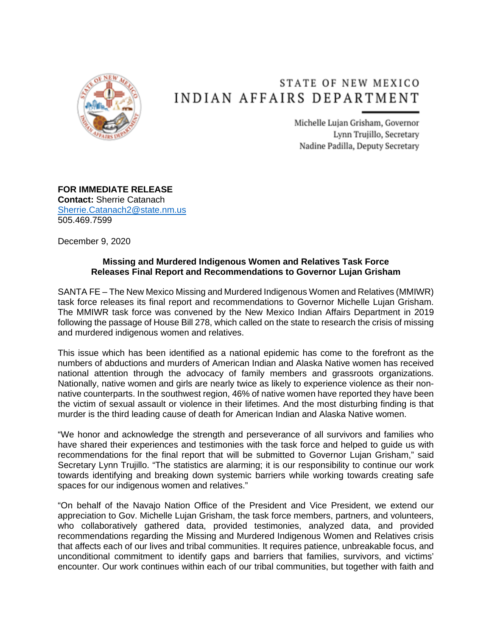

## STATE OF NEW MEXICO INDIAN AFFAIRS DEPARTMENT

Michelle Lujan Grisham, Governor Lynn Trujillo, Secretary Nadine Padilla, Deputy Secretary

**FOR IMMEDIATE RELEASE Contact:** Sherrie Catanach [Sherrie.Catanach2@state.nm.us](mailto:Sherrie.Catanach2@state.nm.us) 505.469.7599

December 9, 2020

## **Missing and Murdered Indigenous Women and Relatives Task Force Releases Final Report and Recommendations to Governor Lujan Grisham**

SANTA FE – The New Mexico Missing and Murdered Indigenous Women and Relatives (MMIWR) task force releases its final report and recommendations to Governor Michelle Lujan Grisham. The MMIWR task force was convened by the New Mexico Indian Affairs Department in 2019 following the passage of House Bill 278, which called on the state to research the crisis of missing and murdered indigenous women and relatives.

This issue which has been identified as a national epidemic has come to the forefront as the numbers of abductions and murders of American Indian and Alaska Native women has received national attention through the advocacy of family members and grassroots organizations. Nationally, native women and girls are nearly twice as likely to experience violence as their nonnative counterparts. In the southwest region, 46% of native women have reported they have been the victim of sexual assault or violence in their lifetimes. And the most disturbing finding is that murder is the third leading cause of death for American Indian and Alaska Native women.

"We honor and acknowledge the strength and perseverance of all survivors and families who have shared their experiences and testimonies with the task force and helped to guide us with recommendations for the final report that will be submitted to Governor Lujan Grisham," said Secretary Lynn Trujillo. "The statistics are alarming; it is our responsibility to continue our work towards identifying and breaking down systemic barriers while working towards creating safe spaces for our indigenous women and relatives."

"On behalf of the Navajo Nation Office of the President and Vice President, we extend our appreciation to Gov. Michelle Lujan Grisham, the task force members, partners, and volunteers, who collaboratively gathered data, provided testimonies, analyzed data, and provided recommendations regarding the Missing and Murdered Indigenous Women and Relatives crisis that affects each of our lives and tribal communities. It requires patience, unbreakable focus, and unconditional commitment to identify gaps and barriers that families, survivors, and victims' encounter. Our work continues within each of our tribal communities, but together with faith and